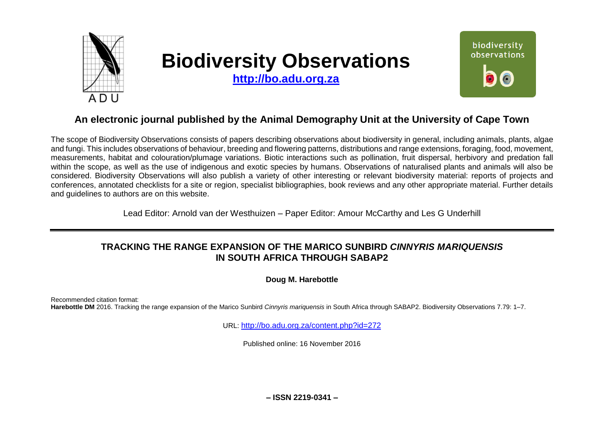

# **Biodiversity Observations**

**[http://bo.adu.org.za](http://bo.adu.org.za/)**



# **An electronic journal published by the Animal Demography Unit at the University of Cape Town**

The scope of Biodiversity Observations consists of papers describing observations about biodiversity in general, including animals, plants, algae and fungi. This includes observations of behaviour, breeding and flowering patterns, distributions and range extensions, foraging, food, movement, measurements, habitat and colouration/plumage variations. Biotic interactions such as pollination, fruit dispersal, herbivory and predation fall within the scope, as well as the use of indigenous and exotic species by humans. Observations of naturalised plants and animals will also be considered. Biodiversity Observations will also publish a variety of other interesting or relevant biodiversity material: reports of projects and conferences, annotated checklists for a site or region, specialist bibliographies, book reviews and any other appropriate material. Further details and guidelines to authors are on this website.

Lead Editor: Arnold van der Westhuizen – Paper Editor: Amour McCarthy and Les G Underhill

# **TRACKING THE RANGE EXPANSION OF THE MARICO SUNBIRD** *CINNYRIS MARIQUENSIS* **IN SOUTH AFRICA THROUGH SABAP2**

**Doug M. Harebottle**

Recommended citation format: **Harebottle DM** 2016. Tracking the range expansion of the Marico Sunbird *Cinnyris mariquensis* in South Africa through SABAP2. Biodiversity Observations 7.79: 1–7.

URL: <http://bo.adu.org.za/content.php?id=272>

Published online: 16 November 2016

**– ISSN 2219-0341 –**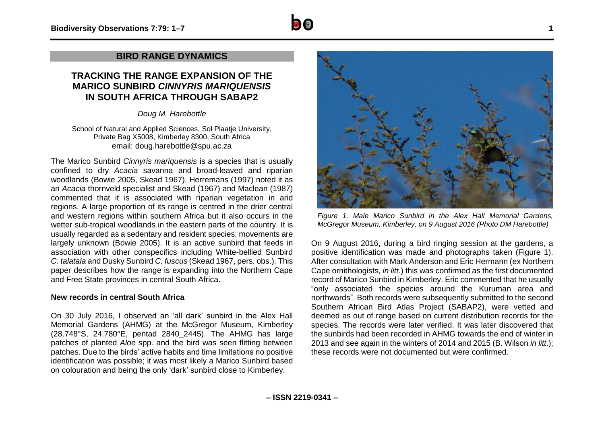# **TRACKING THE RANGE EXPANSION OF THE MARICO SUNBIRD** *CINNYRIS MARIQUENSIS* **IN SOUTH AFRICA THROUGH SABAP2**

*Doug M. Harebottle*

School of Natural and Applied Sciences, Sol Plaatje University, Private Bag X5008, Kimberley 8300, South Africa email: doug.harebottle@spu.ac.za

The Marico Sunbird *Cinnyris mariquensis* is a species that is usually confined to dry *Acacia* savanna and broad-leaved and riparian woodlands (Bowie 2005, Skead 1967). Herremans (1997) noted it as an *Acacia* thornveld specialist and Skead (1967) and Maclean (1987) commented that it is associated with riparian vegetation in arid regions. A large proportion of its range is centred in the drier central and western regions within southern Africa but it also occurs in the wetter sub-tropical woodlands in the eastern parts of the country. It is usually regarded as a sedentary and resident species; movements are largely unknown (Bowie 2005). It is an active sunbird that feeds in association with other conspecifics including White-bellied Sunbird *C. talatala* and Dusky Sunbird *C. fuscus* (Skead 1967, pers. obs.). This paper describes how the range is expanding into the Northern Cape and Free State provinces in central South Africa.

## **New records in central South Africa**

On 30 July 2016, I observed an 'all dark' sunbird in the Alex Hall Memorial Gardens (AHMG) at the McGregor Museum, Kimberley (28.748°S, 24.780°E, pentad 2840\_2445). The AHMG has large patches of planted *Aloe* spp. and the bird was seen flitting between patches. Due to the birds' active habits and time limitations no positive identification was possible; it was most likely a Marico Sunbird based on colouration and being the only 'dark' sunbird close to Kimberley.



*Figure 1. Male Marico Sunbird in the Alex Hall Memorial Gardens, McGregor Museum, Kimberley, on 9 August 2016 (Photo DM Harebottle)*

On 9 August 2016, during a bird ringing session at the gardens, a positive identification was made and photographs taken (Figure 1). After consultation with Mark Anderson and Eric Hermann (ex Northern Cape ornithologists, *in litt*.) this was confirmed as the first documented record of Marico Sunbird in Kimberley. Eric commented that he usually "only associated the species around the Kuruman area and northwards". Both records were subsequently submitted to the second Southern African Bird Atlas Project (SABAP2), were vetted and deemed as out of range based on current distribution records for the species. The records were later verified. It was later discovered that the sunbirds had been recorded in AHMG towards the end of winter in 2013 and see again in the winters of 2014 and 2015 (B. Wilson *in litt*.); these records were not documented but were confirmed.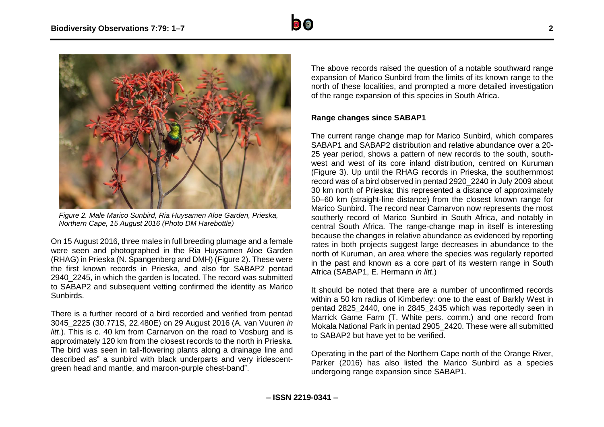



*Figure 2. Male Marico Sunbird, Ria Huysamen Aloe Garden, Prieska, Northern Cape, 15 August 2016 (Photo DM Harebottle)*

On 15 August 2016, three males in full breeding plumage and a female were seen and photographed in the Ria Huysamen Aloe Garden (RHAG) in Prieska (N. Spangenberg and DMH) (Figure 2). These were the first known records in Prieska, and also for SABAP2 pentad 2940\_2245, in which the garden is located. The record was submitted to SABAP2 and subsequent vetting confirmed the identity as Marico Sunbirds.

There is a further record of a bird recorded and verified from pentad 3045\_2225 (30.771S, 22.480E) on 29 August 2016 (A. van Vuuren *in litt*.). This is c. 40 km from Carnarvon on the road to Vosburg and is approximately 120 km from the closest records to the north in Prieska. The bird was seen in tall-flowering plants along a drainage line and described as" a sunbird with black underparts and very iridescentgreen head and mantle, and maroon-purple chest-band".

The above records raised the question of a notable southward range expansion of Marico Sunbird from the limits of its known range to the north of these localities, and prompted a more detailed investigation of the range expansion of this species in South Africa.

## **Range changes since SABAP1**

The current range change map for Marico Sunbird, which compares SABAP1 and SABAP2 distribution and relative abundance over a 20- 25 year period, shows a pattern of new records to the south, southwest and west of its core inland distribution, centred on Kuruman (Figure 3). Up until the RHAG records in Prieska, the southernmost record was of a bird observed in pentad 2920\_2240 in July 2009 about 30 km north of Prieska; this represented a distance of approximately 50–60 km (straight-line distance) from the closest known range for Marico Sunbird. The record near Carnarvon now represents the most southerly record of Marico Sunbird in South Africa, and notably in central South Africa. The range-change map in itself is interesting because the changes in relative abundance as evidenced by reporting rates in both projects suggest large decreases in abundance to the north of Kuruman, an area where the species was regularly reported in the past and known as a core part of its western range in South Africa (SABAP1, E. Hermann *in litt*.)

It should be noted that there are a number of unconfirmed records within a 50 km radius of Kimberley: one to the east of Barkly West in pentad 2825\_2440, one in 2845\_2435 which was reportedly seen in Marrick Game Farm (T. White pers. comm.) and one record from Mokala National Park in pentad 2905\_2420. These were all submitted to SABAP2 but have yet to be verified.

Operating in the part of the Northern Cape north of the Orange River, Parker (2016) has also listed the Marico Sunbird as a species undergoing range expansion since SABAP1.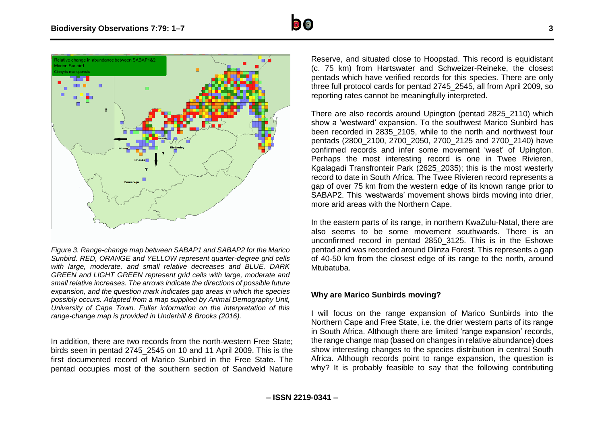



*Figure 3. Range-change map between SABAP1 and SABAP2 for the Marico Sunbird. RED, ORANGE and YELLOW represent quarter-degree grid cells with large, moderate, and small relative decreases and BLUE, DARK GREEN and LIGHT GREEN represent grid cells with large, moderate and small relative increases. The arrows indicate the directions of possible future expansion, and the question mark indicates gap areas in which the species possibly occurs. Adapted from a map supplied by Animal Demography Unit, University of Cape Town. Fuller information on the interpretation of this range-change map is provided in Underhill & Brooks (2016).*

In addition, there are two records from the north-western Free State; birds seen in pentad 2745\_2545 on 10 and 11 April 2009. This is the first documented record of Marico Sunbird in the Free State. The pentad occupies most of the southern section of Sandveld Nature

Reserve, and situated close to Hoopstad. This record is equidistant (c. 75 km) from Hartswater and Schweizer-Reineke, the closest pentads which have verified records for this species. There are only three full protocol cards for pentad 2745\_2545, all from April 2009, so reporting rates cannot be meaningfully interpreted.

There are also records around Upington (pentad 2825\_2110) which show a 'westward' expansion. To the southwest Marico Sunbird has been recorded in 2835\_2105, while to the north and northwest four pentads (2800\_2100, 2700\_2050, 2700\_2125 and 2700\_2140) have confirmed records and infer some movement 'west' of Upington. Perhaps the most interesting record is one in Twee Rivieren, Kgalagadi Transfronteir Park (2625\_2035); this is the most westerly record to date in South Africa. The Twee Rivieren record represents a gap of over 75 km from the western edge of its known range prior to SABAP2. This 'westwards' movement shows birds moving into drier, more arid areas with the Northern Cape.

In the eastern parts of its range, in northern KwaZulu-Natal, there are also seems to be some movement southwards. There is an unconfirmed record in pentad 2850\_3125. This is in the Eshowe pentad and was recorded around Dlinza Forest. This represents a gap of 40-50 km from the closest edge of its range to the north, around Mtubatuba.

## **Why are Marico Sunbirds moving?**

I will focus on the range expansion of Marico Sunbirds into the Northern Cape and Free State, i.e. the drier western parts of its range in South Africa. Although there are limited 'range expansion' records, the range change map (based on changes in relative abundance) does show interesting changes to the species distribution in central South Africa. Although records point to range expansion, the question is why? It is probably feasible to say that the following contributing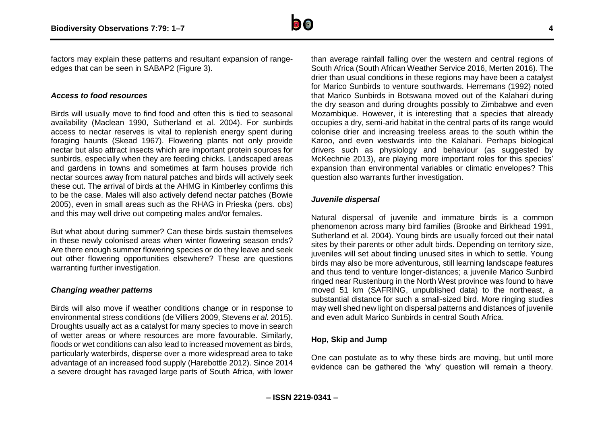

factors may explain these patterns and resultant expansion of rangeedges that can be seen in SABAP2 (Figure 3).

#### *Access to food resources*

Birds will usually move to find food and often this is tied to seasonal availability (Maclean 1990, Sutherland et al. 2004). For sunbirds access to nectar reserves is vital to replenish energy spent during foraging haunts (Skead 1967). Flowering plants not only provide nectar but also attract insects which are important protein sources for sunbirds, especially when they are feeding chicks. Landscaped areas and gardens in towns and sometimes at farm houses provide rich nectar sources away from natural patches and birds will actively seek these out. The arrival of birds at the AHMG in Kimberley confirms this to be the case. Males will also actively defend nectar patches (Bowie 2005), even in small areas such as the RHAG in Prieska (pers. obs) and this may well drive out competing males and/or females.

But what about during summer? Can these birds sustain themselves in these newly colonised areas when winter flowering season ends? Are there enough summer flowering species or do they leave and seek out other flowering opportunities elsewhere? These are questions warranting further investigation.

#### *Changing weather patterns*

Birds will also move if weather conditions change or in response to environmental stress conditions (de Villiers 2009, Stevens *et al.* 2015). Droughts usually act as a catalyst for many species to move in search of wetter areas or where resources are more favourable. Similarly, floods or wet conditions can also lead to increased movement as birds, particularly waterbirds, disperse over a more widespread area to take advantage of an increased food supply (Harebottle 2012). Since 2014 a severe drought has ravaged large parts of South Africa, with lower than average rainfall falling over the western and central regions of South Africa (South African Weather Service 2016, Merten 2016). The drier than usual conditions in these regions may have been a catalyst for Marico Sunbirds to venture southwards. Herremans (1992) noted that Marico Sunbirds in Botswana moved out of the Kalahari during the dry season and during droughts possibly to Zimbabwe and even Mozambique. However, it is interesting that a species that already occupies a dry, semi-arid habitat in the central parts of its range would colonise drier and increasing treeless areas to the south within the Karoo, and even westwards into the Kalahari. Perhaps biological drivers such as physiology and behaviour (as suggested by McKechnie 2013), are playing more important roles for this species' expansion than environmental variables or climatic envelopes? This question also warrants further investigation.

## *Juvenile dispersal*

Natural dispersal of juvenile and immature birds is a common phenomenon across many bird families (Brooke and Birkhead 1991, Sutherland et al. 2004). Young birds are usually forced out their natal sites by their parents or other adult birds. Depending on territory size, juveniles will set about finding unused sites in which to settle. Young birds may also be more adventurous, still learning landscape features and thus tend to venture longer-distances; a juvenile Marico Sunbird ringed near Rustenburg in the North West province was found to have moved 51 km (SAFRING, unpublished data) to the northeast, a substantial distance for such a small-sized bird. More ringing studies may well shed new light on dispersal patterns and distances of juvenile and even adult Marico Sunbirds in central South Africa.

#### **Hop, Skip and Jump**

One can postulate as to why these birds are moving, but until more evidence can be gathered the 'why' question will remain a theory.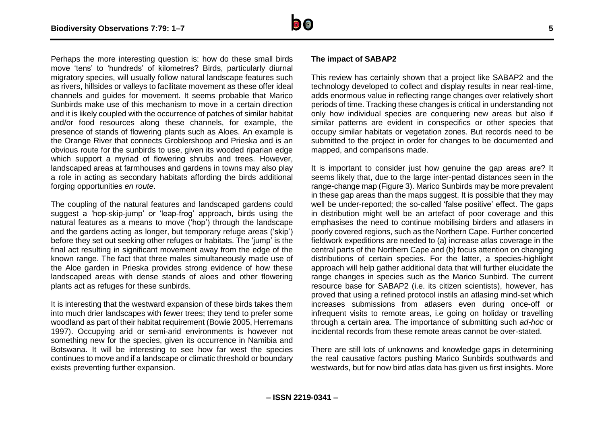

Perhaps the more interesting question is: how do these small birds move 'tens' to 'hundreds' of kilometres? Birds, particularly diurnal migratory species, will usually follow natural landscape features such as rivers, hillsides or valleys to facilitate movement as these offer ideal channels and guides for movement. It seems probable that Marico Sunbirds make use of this mechanism to move in a certain direction and it is likely coupled with the occurrence of patches of similar habitat and/or food resources along these channels, for example, the presence of stands of flowering plants such as Aloes. An example is the Orange River that connects Groblershoop and Prieska and is an obvious route for the sunbirds to use, given its wooded riparian edge which support a myriad of flowering shrubs and trees. However, landscaped areas at farmhouses and gardens in towns may also play a role in acting as secondary habitats affording the birds additional forging opportunities *en route*.

The coupling of the natural features and landscaped gardens could suggest a 'hop-skip-jump' or 'leap-frog' approach, birds using the natural features as a means to move ('hop') through the landscape and the gardens acting as longer, but temporary refuge areas ('skip') before they set out seeking other refuges or habitats. The 'jump' is the final act resulting in significant movement away from the edge of the known range. The fact that three males simultaneously made use of the Aloe garden in Prieska provides strong evidence of how these landscaped areas with dense stands of aloes and other flowering plants act as refuges for these sunbirds.

It is interesting that the westward expansion of these birds takes them into much drier landscapes with fewer trees; they tend to prefer some woodland as part of their habitat requirement (Bowie 2005, Herremans 1997). Occupying arid or semi-arid environments is however not something new for the species, given its occurrence in Namibia and Botswana. It will be interesting to see how far west the species continues to move and if a landscape or climatic threshold or boundary exists preventing further expansion.

#### **The impact of SABAP2**

This review has certainly shown that a project like SABAP2 and the technology developed to collect and display results in near real-time, adds enormous value in reflecting range changes over relatively short periods of time. Tracking these changes is critical in understanding not only how individual species are conquering new areas but also if similar patterns are evident in conspecifics or other species that occupy similar habitats or vegetation zones. But records need to be submitted to the project in order for changes to be documented and mapped, and comparisons made.

It is important to consider just how genuine the gap areas are? It seems likely that, due to the large inter-pentad distances seen in the range-change map (Figure 3). Marico Sunbirds may be more prevalent in these gap areas than the maps suggest. It is possible that they may well be under-reported; the so-called 'false positive' effect. The gaps in distribution might well be an artefact of poor coverage and this emphasises the need to continue mobilising birders and atlasers in poorly covered regions, such as the Northern Cape. Further concerted fieldwork expeditions are needed to (a) increase atlas coverage in the central parts of the Northern Cape and (b) focus attention on changing distributions of certain species. For the latter, a species-highlight approach will help gather additional data that will further elucidate the range changes in species such as the Marico Sunbird. The current resource base for SABAP2 (i.e. its citizen scientists), however, has proved that using a refined protocol instils an atlasing mind-set which increases submissions from atlasers even during once-off or infrequent visits to remote areas, i.e going on holiday or travelling through a certain area. The importance of submitting such *ad-hoc* or incidental records from these remote areas cannot be over-stated.

There are still lots of unknowns and knowledge gaps in determining the real causative factors pushing Marico Sunbirds southwards and westwards, but for now bird atlas data has given us first insights. More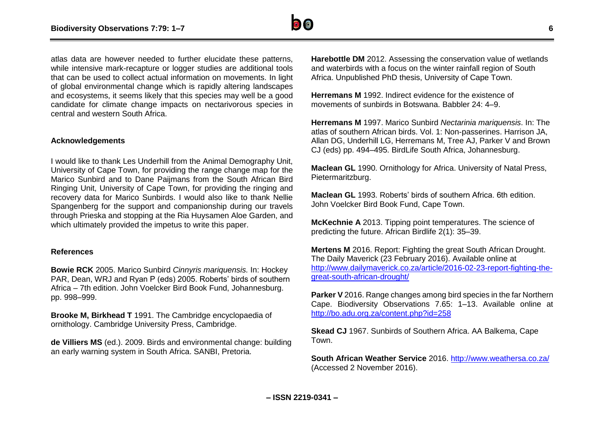

atlas data are however needed to further elucidate these patterns, while intensive mark-recapture or logger studies are additional tools that can be used to collect actual information on movements. In light of global environmental change which is rapidly altering landscapes and ecosystems, it seems likely that this species may well be a good candidate for climate change impacts on nectarivorous species in central and western South Africa.

#### **Acknowledgements**

I would like to thank Les Underhill from the Animal Demography Unit, University of Cape Town, for providing the range change map for the Marico Sunbird and to Dane Paijmans from the South African Bird Ringing Unit, University of Cape Town, for providing the ringing and recovery data for Marico Sunbirds. I would also like to thank Nellie Spangenberg for the support and companionship during our travels through Prieska and stopping at the Ria Huysamen Aloe Garden, and which ultimately provided the impetus to write this paper.

#### **References**

**Bowie RCK** 2005. Marico Sunbird *Cinnyris mariquensis.* In: Hockey PAR, Dean, WRJ and Ryan P (eds) 2005. Roberts' birds of southern Africa – 7th edition. John Voelcker Bird Book Fund, Johannesburg. pp. 998–999.

**Brooke M, Birkhead T** 1991. The Cambridge encyclopaedia of ornithology. Cambridge University Press, Cambridge.

**de Villiers MS** (ed.). 2009. Birds and environmental change: building an early warning system in South Africa. SANBI, Pretoria.

**Harebottle DM** 2012. Assessing the conservation value of wetlands and waterbirds with a focus on the winter rainfall region of South Africa. Unpublished PhD thesis, University of Cape Town.

**Herremans M** 1992. Indirect evidence for the existence of movements of sunbirds in Botswana. Babbler 24: 4–9.

**Herremans M** 1997. Marico Sunbird *Nectarinia mariquensis*. In: The atlas of southern African birds. Vol. 1: Non-passerines. Harrison JA, Allan DG, Underhill LG, Herremans M, Tree AJ, Parker V and Brown CJ (eds) pp. 494–495. BirdLife South Africa, Johannesburg.

**Maclean GL** 1990. Ornithology for Africa. University of Natal Press, Pietermaritzburg.

**Maclean GL** 1993. Roberts' birds of southern Africa. 6th edition. John Voelcker Bird Book Fund, Cape Town.

**McKechnie A** 2013. Tipping point temperatures. The science of predicting the future. African Birdlife 2(1): 35–39.

**Mertens M** 2016. Report: Fighting the great South African Drought. The Daily Maverick (23 February 2016). Available online at [http://www.dailymaverick.co.za/article/2016-02-23-report-fighting-the](http://www.dailymaverick.co.za/article/2016-02-23-report-fighting-the-great-south-african-drought/)[great-south-african-drought/](http://www.dailymaverick.co.za/article/2016-02-23-report-fighting-the-great-south-african-drought/)

**Parker V** 2016. Range changes among bird species in the far Northern Cape. Biodiversity Observations 7.65: 1–13. Available online at <http://bo.adu.org.za/content.php?id=258>

**Skead CJ** 1967. Sunbirds of Southern Africa. AA Balkema, Cape Town.

**South African Weather Service** 2016.<http://www.weathersa.co.za/> (Accessed 2 November 2016).